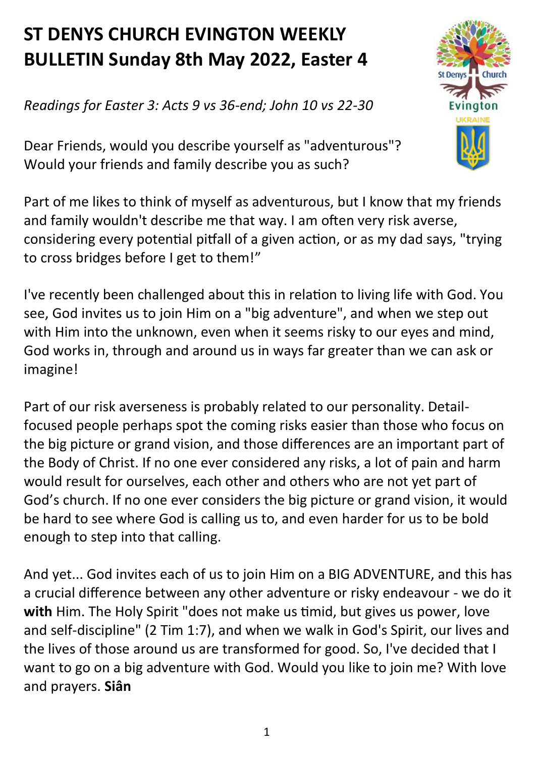## **ST DENYS CHURCH EVINGTON WEEKLY BULLETIN Sunday 8th May 2022, Easter 4**

*Readings for Easter 3: Acts 9 vs 36-end; John 10 vs 22-30*

Dear Friends, would you describe yourself as "adventurous"? Would your friends and family describe you as such?

Part of me likes to think of myself as adventurous, but I know that my friends and family wouldn't describe me that way. I am often very risk averse, considering every potential pitfall of a given action, or as my dad says, "trying to cross bridges before I get to them!"

I've recently been challenged about this in relation to living life with God. You see, God invites us to join Him on a "big adventure", and when we step out with Him into the unknown, even when it seems risky to our eyes and mind, God works in, through and around us in ways far greater than we can ask or imagine!

Part of our risk averseness is probably related to our personality. Detailfocused people perhaps spot the coming risks easier than those who focus on the big picture or grand vision, and those differences are an important part of the Body of Christ. If no one ever considered any risks, a lot of pain and harm would result for ourselves, each other and others who are not yet part of God's church. If no one ever considers the big picture or grand vision, it would be hard to see where God is calling us to, and even harder for us to be bold enough to step into that calling.

And yet... God invites each of us to join Him on a BIG ADVENTURE, and this has a crucial difference between any other adventure or risky endeavour - we do it **with** Him. The Holy Spirit "does not make us timid, but gives us power, love and self-discipline" (2 Tim 1:7), and when we walk in God's Spirit, our lives and the lives of those around us are transformed for good. So, I've decided that I want to go on a big adventure with God. Would you like to join me? With love and prayers. **Siân**

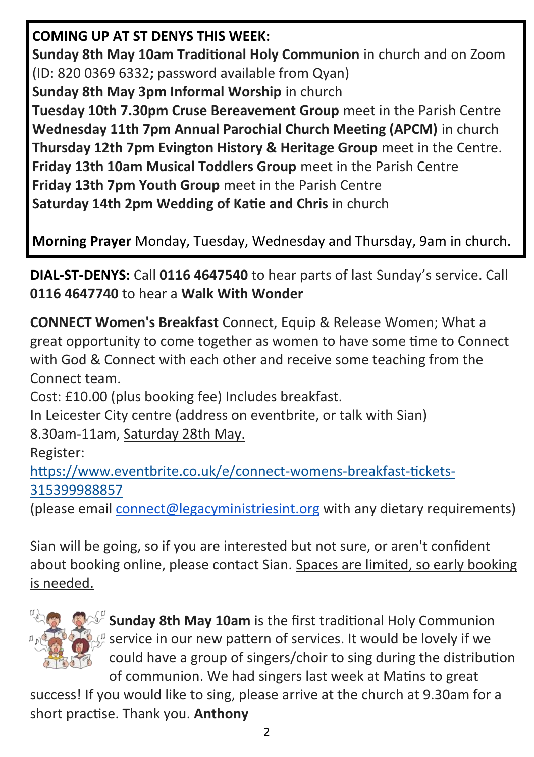## **COMING UP AT ST DENYS THIS WEEK:**

**Sunday 8th May 10am Traditional Holy Communion** in church and on Zoom (ID: 820 0369 6332**;** password available from Qyan)

**Sunday 8th May 3pm Informal Worship** in church

**Tuesday 10th 7.30pm Cruse Bereavement Group** meet in the Parish Centre **Wednesday 11th 7pm Annual Parochial Church Meeting (APCM)** in church **Thursday 12th 7pm Evington History & Heritage Group** meet in the Centre. **Friday 13th 10am Musical Toddlers Group** meet in the Parish Centre **Friday 13th 7pm Youth Group** meet in the Parish Centre **Saturday 14th 2pm Wedding of Katie and Chris** in church

**Morning Prayer** Monday, Tuesday, Wednesday and Thursday, 9am in church.

**DIAL-ST-DENYS:** Call **0116 4647540** to hear parts of last Sunday's service. Call **0116 4647740** to hear a **Walk With Wonder**

**CONNECT Women's Breakfast** Connect, Equip & Release Women; What a great opportunity to come together as women to have some time to Connect with God & Connect with each other and receive some teaching from the Connect team.

Cost: £10.00 (plus booking fee) Includes breakfast.

In Leicester City centre (address on eventbrite, or talk with Sian) 8.30am-11am, Saturday 28th May.

Register:

[https://www.eventbrite.co.uk/e/connect](https://www.eventbrite.co.uk/e/connect-womens-breakfast-tickets-315399988857)-womens-breakfast-tickets-[315399988857](https://www.eventbrite.co.uk/e/connect-womens-breakfast-tickets-315399988857)

(please email [connect@legacyministriesint.org](mailto:connect@legacyministriesint.org) with any dietary requirements)

Sian will be going, so if you are interested but not sure, or aren't confident about booking online, please contact Sian. Spaces are limited, so early booking is needed.



 $\frac{1}{2}$  **Sunday 8th May 10am** is the first traditional Holy Communion  $\mathcal{L}$  service in our new pattern of services. It would be lovely if we could have a group of singers/choir to sing during the distribution of communion. We had singers last week at Matins to great

success! If you would like to sing, please arrive at the church at 9.30am for a short practise. Thank you. **Anthony**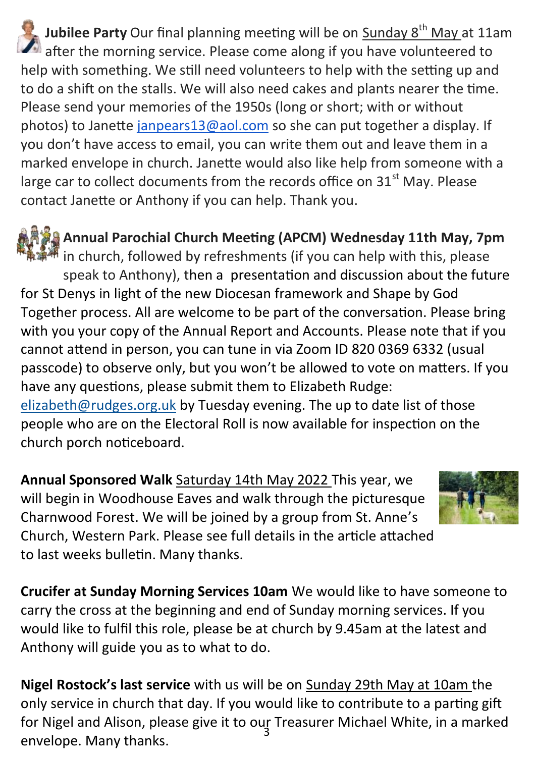**Jubilee Party** Our final planning meeting will be on Sunday 8<sup>th</sup> May at 11am after the morning service. Please come along if you have volunteered to help with something. We still need volunteers to help with the setting up and to do a shift on the stalls. We will also need cakes and plants nearer the time. Please send your memories of the 1950s (long or short; with or without photos) to Janette [janpears13@aol.com](mailto:janpears13@aol.com) so she can put together a display. If you don't have access to email, you can write them out and leave them in a marked envelope in church. Janette would also like help from someone with a large car to collect documents from the records office on  $31<sup>st</sup>$  May. Please contact Janette or Anthony if you can help. Thank you.

**Annual Parochial Church Meeting (APCM) Wednesday 11th May, 7pm**  $\ddot{\mathbf{w}}$  in church, followed by refreshments (if you can help with this, please speak to Anthony), then a presentation and discussion about the future for St Denys in light of the new Diocesan framework and Shape by God Together process. All are welcome to be part of the conversation. Please bring with you your copy of the Annual Report and Accounts. Please note that if you cannot attend in person, you can tune in via Zoom ID 820 0369 6332 (usual passcode) to observe only, but you won't be allowed to vote on matters. If you have any questions, please submit them to Elizabeth Rudge: [elizabeth@rudges.org.uk](file:///C:/Users/offic.DESKTOP-1ISB6CK/OneDrive/Desktop/Documents/Bulletin) by Tuesday evening. The up to date list of those people who are on the Electoral Roll is now available for inspection on the church porch noticeboard.

**Annual Sponsored Walk** Saturday 14th May 2022 This year, we will begin in Woodhouse Eaves and walk through the picturesque Charnwood Forest. We will be joined by a group from St. Anne's Church, Western Park. Please see full details in the article attached to last weeks bulletin. Many thanks.



**Crucifer at Sunday Morning Services 10am** We would like to have someone to carry the cross at the beginning and end of Sunday morning services. If you would like to fulfil this role, please be at church by 9.45am at the latest and Anthony will guide you as to what to do.

for Nigel and Alison, please give it to our Treasurer Michael White, in a marked<br>causelase, Manuthaelis **Nigel Rostock's last service** with us will be on Sunday 29th May at 10am the only service in church that day. If you would like to contribute to a parting gift envelope. Many thanks.